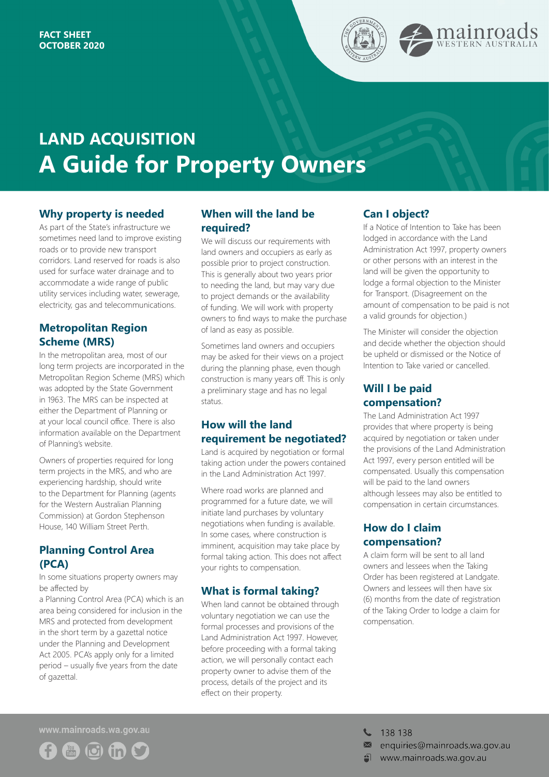

# **LAND ACQUISITION A Guide for Property Owners**

## **Why property is needed**

As part of the State's infrastructure we sometimes need land to improve existing roads or to provide new transport corridors. Land reserved for roads is also used for surface water drainage and to accommodate a wide range of public utility services including water, sewerage, electricity, gas and telecommunications.

## **Metropolitan Region Scheme (MRS)**

In the metropolitan area, most of our long term projects are incorporated in the Metropolitan Region Scheme (MRS) which was adopted by the State Government in 1963. The MRS can be inspected at either the Department of Planning or at your local council office. There is also information available on the Department of Planning's website.

Owners of properties required for long term projects in the MRS, and who are experiencing hardship, should write to the Department for Planning (agents for the Western Australian Planning Commission) at Gordon Stephenson House, 140 William Street Perth.

# **Planning Control Area (PCA)**

In some situations property owners may be affected by

a Planning Control Area (PCA) which is an area being considered for inclusion in the MRS and protected from development in the short term by a gazettal notice under the Planning and Development Act 2005. PCA's apply only for a limited period – usually five years from the date of gazettal.

## **When will the land be required?**

We will discuss our requirements with land owners and occupiers as early as possible prior to project construction. This is generally about two years prior to needing the land, but may vary due to project demands or the availability of funding. We will work with property owners to find ways to make the purchase of land as easy as possible.

Sometimes land owners and occupiers may be asked for their views on a project during the planning phase, even though construction is many years off. This is only a preliminary stage and has no legal status.

## **How will the land requirement be negotiated?**

Land is acquired by negotiation or formal taking action under the powers contained in the Land Administration Act 1997.

Where road works are planned and programmed for a future date, we will initiate land purchases by voluntary negotiations when funding is available. In some cases, where construction is imminent, acquisition may take place by formal taking action. This does not affect your rights to compensation.

## **What is formal taking?**

When land cannot be obtained through voluntary negotiation we can use the formal processes and provisions of the Land Administration Act 1997. However, before proceeding with a formal taking action, we will personally contact each property owner to advise them of the process, details of the project and its effect on their property.

## **Can I object?**

If a Notice of Intention to Take has been lodged in accordance with the Land Administration Act 1997, property owners or other persons with an interest in the land will be given the opportunity to lodge a formal objection to the Minister for Transport. (Disagreement on the amount of compensation to be paid is not a valid grounds for objection.)

The Minister will consider the objection and decide whether the objection should be upheld or dismissed or the Notice of Intention to Take varied or cancelled.

# **Will I be paid compensation?**

The Land Administration Act 1997 provides that where property is being acquired by negotiation or taken under the provisions of the Land Administration Act 1997, every person entitled will be compensated. Usually this compensation will be paid to the land owners although lessees may also be entitled to compensation in certain circumstances.

# **How do I claim compensation?**

A claim form will be sent to all land owners and lessees when the Taking Order has been registered at Landgate. Owners and lessees will then have six (6) months from the date of registration of the Taking Order to lodge a claim for compensation.

www.mainroads.wa.gov.au



 $\begin{array}{cc} \begin{array}{cc} \end{array} \end{array}$  138 138

- $\blacksquare$  enquiries@mainroads.wa.gov.au
- www.mainroads.wa.gov.au